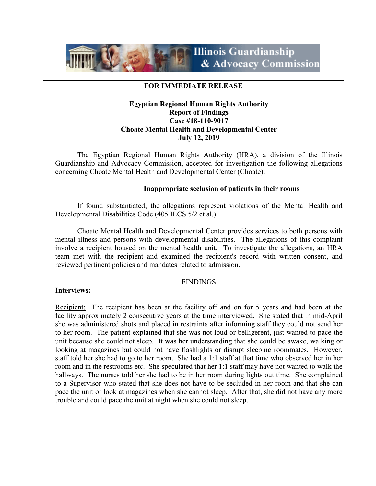

## **FOR IMMEDIATE RELEASE**

# **Egyptian Regional Human Rights Authority Report of Findings Case #18-110-9017 Choate Mental Health and Developmental Center July 12, 2019**

The Egyptian Regional Human Rights Authority (HRA), a division of the Illinois Guardianship and Advocacy Commission, accepted for investigation the following allegations concerning Choate Mental Health and Developmental Center (Choate):

## **Inappropriate seclusion of patients in their rooms**

If found substantiated, the allegations represent violations of the Mental Health and Developmental Disabilities Code (405 ILCS 5/2 et al.)

Choate Mental Health and Developmental Center provides services to both persons with mental illness and persons with developmental disabilities. The allegations of this complaint involve a recipient housed on the mental health unit. To investigate the allegations, an HRA team met with the recipient and examined the recipient's record with written consent, and reviewed pertinent policies and mandates related to admission.

### **FINDINGS**

### **Interviews:**

Recipient: The recipient has been at the facility off and on for 5 years and had been at the facility approximately 2 consecutive years at the time interviewed. She stated that in mid-April she was administered shots and placed in restraints after informing staff they could not send her to her room. The patient explained that she was not loud or belligerent, just wanted to pace the unit because she could not sleep. It was her understanding that she could be awake, walking or looking at magazines but could not have flashlights or disrupt sleeping roommates. However, staff told her she had to go to her room. She had a 1:1 staff at that time who observed her in her room and in the restrooms etc. She speculated that her 1:1 staff may have not wanted to walk the hallways. The nurses told her she had to be in her room during lights out time. She complained to a Supervisor who stated that she does not have to be secluded in her room and that she can pace the unit or look at magazines when she cannot sleep. After that, she did not have any more trouble and could pace the unit at night when she could not sleep.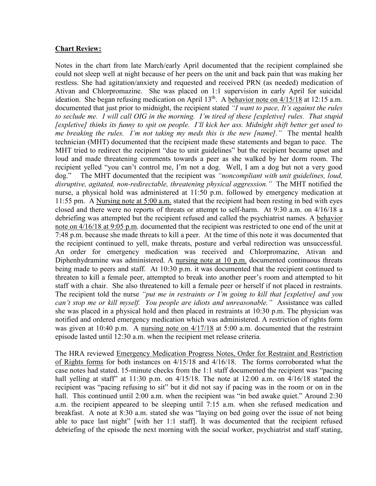## **Chart Review:**

Notes in the chart from late March/early April documented that the recipient complained she could not sleep well at night because of her peers on the unit and back pain that was making her restless. She had agitation/anxiety and requested and received PRN (as needed) medication of Ativan and Chlorpromazine. She was placed on 1:1 supervision in early April for suicidal ideation. She began refusing medication on April  $13<sup>th</sup>$ . A behavior note on  $4/15/18$  at 12:15 a.m. documented that just prior to midnight, the recipient stated *"I want to pace, It's against the rules to seclude me. I will call OIG in the morning. I'm tired of these [expletive] rules. That stupid [expletive] thinks its funny to spit on people. I'll kick her ass. Midnight shift better get used to me breaking the rules. I'm not taking my meds this is the new [name]."* The mental health technician (MHT) documented that the recipient made these statements and began to pace. The MHT tried to redirect the recipient "due to unit guidelines" but the recipient became upset and loud and made threatening comments towards a peer as she walked by her dorm room. The recipient yelled "you can't control me, I'm not a dog. Well, I am a dog but not a very good dog." The MHT documented that the recipient was *"noncompliant with unit guidelines, loud, disruptive, agitated, non-redirectable, threatening physical aggression."* The MHT notified the nurse, a physical hold was administered at 11:50 p.m. followed by emergency medication at 11:55 pm. A Nursing note at 5:00 a.m. stated that the recipient had been resting in bed with eyes closed and there were no reports of threats or attempt to self-harm. At 9:30 a.m. on 4/16/18 a debriefing was attempted but the recipient refused and called the psychiatrist names. A behavior note on 4/16/18 at 9:05 p.m. documented that the recipient was restricted to one end of the unit at 7:48 p.m. because she made threats to kill a peer. At the time of this note it was documented that the recipient continued to yell, make threats, posture and verbal redirection was unsuccessful. An order for emergency medication was received and Chlorpromazine, Ativan and Diphenhydramine was administered. A nursing note at 10 p.m. documented continuous threats being made to peers and staff. At 10:30 p.m. it was documented that the recipient continued to threaten to kill a female peer, attempted to break into another peer's room and attempted to hit staff with a chair. She also threatened to kill a female peer or herself if not placed in restraints. The recipient told the nurse *"put me in restraints or I'm going to kill that [expletive] and you can't stop me or kill myself. You people are idiots and unreasonable."* Assistance was called she was placed in a physical hold and then placed in restraints at 10:30 p.m. The physician was notified and ordered emergency medication which was administered. A restriction of rights form was given at 10:40 p.m. A nursing note on  $4/17/18$  at 5:00 a.m. documented that the restraint episode lasted until 12:30 a.m. when the recipient met release criteria.

The HRA reviewed Emergency Medication Progress Notes, Order for Restraint and Restriction of Rights forms for both instances on 4/15/18 and 4/16/18. The forms corroborated what the case notes had stated. 15-minute checks from the 1:1 staff documented the recipient was "pacing hall yelling at staff" at  $11:30$  p.m. on  $4/15/18$ . The note at  $12:00$  a.m. on  $4/16/18$  stated the recipient was "pacing refusing to sit" but it did not say if pacing was in the room or on in the hall. This continued until 2:00 a.m. when the recipient was "in bed awake quiet." Around 2:30 a.m. the recipient appeared to be sleeping until 7:15 a.m. when she refused medication and breakfast. A note at 8:30 a.m. stated she was "laying on bed going over the issue of not being able to pace last night" [with her 1:1 staff]. It was documented that the recipient refused debriefing of the episode the next morning with the social worker, psychiatrist and staff stating,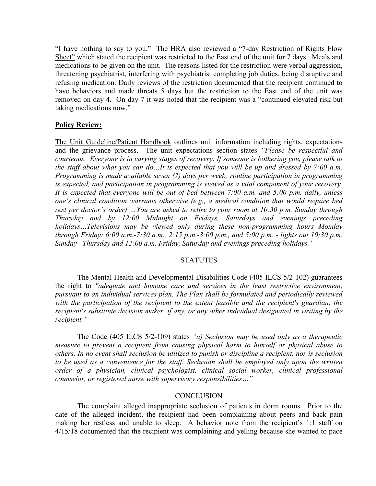"I have nothing to say to you." The HRA also reviewed a "7-day Restriction of Rights Flow Sheet" which stated the recipient was restricted to the East end of the unit for 7 days. Meals and medications to be given on the unit. The reasons listed for the restriction were verbal aggression, threatening psychiatrist, interfering with psychiatrist completing job duties, being disruptive and refusing medication. Daily reviews of the restriction documented that the recipient continued to have behaviors and made threats 5 days but the restriction to the East end of the unit was removed on day 4. On day 7 it was noted that the recipient was a "continued elevated risk but taking medications now."

## **Policy Review:**

The Unit Guideline/Patient Handbook outlines unit information including rights, expectations and the grievance process. The unit expectations section states *"Please be respectful and courteous. Everyone is in varying stages of recovery. If someone is bothering you, please talk to the staff about what you can do…It is expected that you will be up and dressed by 7:00 a.m. Programming is made available seven (7) days per week; routine participation in programming is expected, and participation in programming is viewed as a vital component of your recovery. It is expected that everyone will be out of bed between 7:00 a.m. and 5:00 p.m. daily, unless one's clinical condition warrants otherwise (e.g., a medical condition that would require bed rest per doctor's order) …You are asked to retire to your room at 10:30 p.m. Sunday through Thursday and by 12:00 Midnight on Fridays, Saturdays and evenings preceding holidays…Televisions may be viewed only during these non-programming hours Monday through Friday: 6:00 a.m.-7:30 a.m., 2:15 p.m.-3:00 p.m., and 5:00 p.m. - lights out 10:30 p.m. Sunday –Thursday and 12:00 a.m. Friday, Saturday and evenings preceding holidays."* 

### **STATUTES**

The Mental Health and Developmental Disabilities Code (405 ILCS 5/2-102) guarantees the right to *"adequate and humane care and services in the least restrictive environment, pursuant to an individual services plan. The Plan shall be formulated and periodically reviewed with the participation of the recipient to the extent feasible and the recipient's guardian, the recipient's substitute decision maker, if any, or any other individual designated in writing by the recipient."*

The Code (405 ILCS 5/2-109) states *"a) Seclusion may be used only as a therapeutic measure to prevent a recipient from causing physical harm to himself or physical abuse to others. In no event shall seclusion be utilized to punish or discipline a recipient, nor is seclusion to be used as a convenience for the staff. Seclusion shall be employed only upon the written order of a physician, clinical psychologist, clinical social worker, clinical professional counselor, or registered nurse with supervisory responsibilities…"*

#### **CONCLUSION**

The complaint alleged inappropriate seclusion of patients in dorm rooms. Prior to the date of the alleged incident, the recipient had been complaining about peers and back pain making her restless and unable to sleep. A behavior note from the recipient's 1:1 staff on 4/15/18 documented that the recipient was complaining and yelling because she wanted to pace